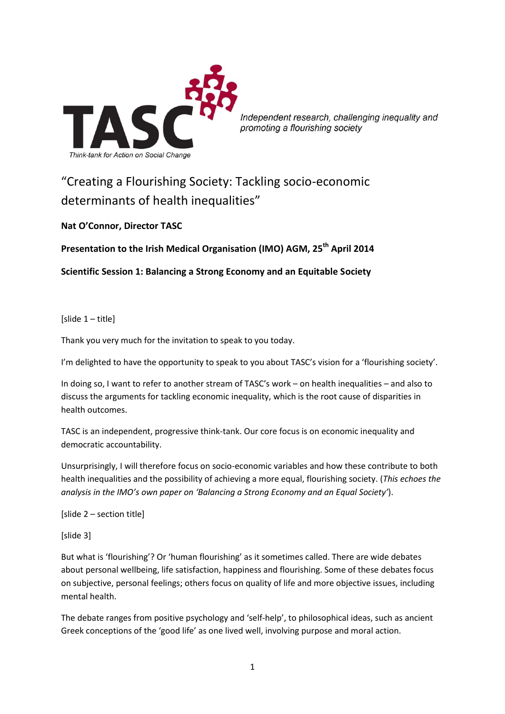

Independent research, challenging inequality and promoting a flourishing society

# "Creating a Flourishing Society: Tackling socio-economic determinants of health inequalities"

**Nat O'Connor, Director TASC**

**Presentation to the Irish Medical Organisation (IMO) AGM, 25th April 2014**

**Scientific Session 1: Balancing a Strong Economy and an Equitable Society**

[slide 1 – title]

Thank you very much for the invitation to speak to you today.

I'm delighted to have the opportunity to speak to you about TASC's vision for a 'flourishing society'.

In doing so, I want to refer to another stream of TASC's work – on health inequalities – and also to discuss the arguments for tackling economic inequality, which is the root cause of disparities in health outcomes.

TASC is an independent, progressive think-tank. Our core focus is on economic inequality and democratic accountability.

Unsurprisingly, I will therefore focus on socio-economic variables and how these contribute to both health inequalities and the possibility of achieving a more equal, flourishing society. (*This echoes the analysis in the IMO's own paper on 'Balancing a Strong Economy and an Equal Society'*).

[slide 2 – section title]

[slide 3]

But what is 'flourishing'? Or 'human flourishing' as it sometimes called. There are wide debates about personal wellbeing, life satisfaction, happiness and flourishing. Some of these debates focus on subjective, personal feelings; others focus on quality of life and more objective issues, including mental health.

The debate ranges from positive psychology and 'self-help', to philosophical ideas, such as ancient Greek conceptions of the 'good life' as one lived well, involving purpose and moral action.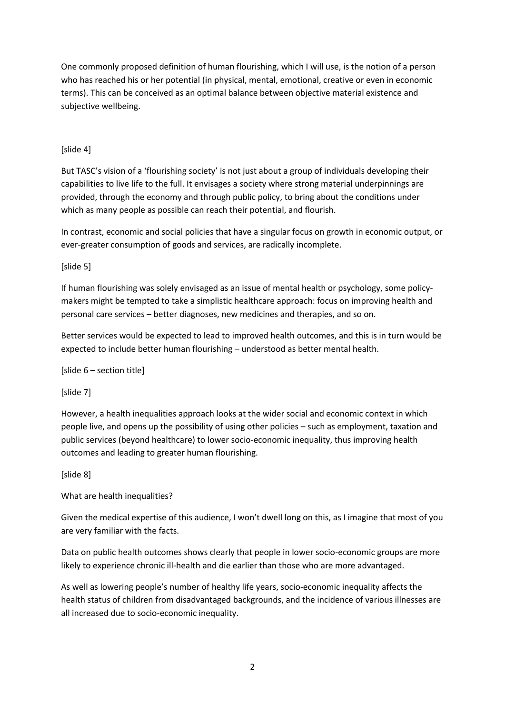One commonly proposed definition of human flourishing, which I will use, is the notion of a person who has reached his or her potential (in physical, mental, emotional, creative or even in economic terms). This can be conceived as an optimal balance between objective material existence and subjective wellbeing.

# [slide 4]

But TASC's vision of a 'flourishing society' is not just about a group of individuals developing their capabilities to live life to the full. It envisages a society where strong material underpinnings are provided, through the economy and through public policy, to bring about the conditions under which as many people as possible can reach their potential, and flourish.

In contrast, economic and social policies that have a singular focus on growth in economic output, or ever-greater consumption of goods and services, are radically incomplete.

[slide 5]

If human flourishing was solely envisaged as an issue of mental health or psychology, some policymakers might be tempted to take a simplistic healthcare approach: focus on improving health and personal care services – better diagnoses, new medicines and therapies, and so on.

Better services would be expected to lead to improved health outcomes, and this is in turn would be expected to include better human flourishing – understood as better mental health.

[slide 6 – section title]

[slide 7]

However, a health inequalities approach looks at the wider social and economic context in which people live, and opens up the possibility of using other policies – such as employment, taxation and public services (beyond healthcare) to lower socio-economic inequality, thus improving health outcomes and leading to greater human flourishing.

[slide 8]

What are health inequalities?

Given the medical expertise of this audience, I won't dwell long on this, as I imagine that most of you are very familiar with the facts.

Data on public health outcomes shows clearly that people in lower socio-economic groups are more likely to experience chronic ill-health and die earlier than those who are more advantaged.

As well as lowering people's number of healthy life years, socio-economic inequality affects the health status of children from disadvantaged backgrounds, and the incidence of various illnesses are all increased due to socio-economic inequality.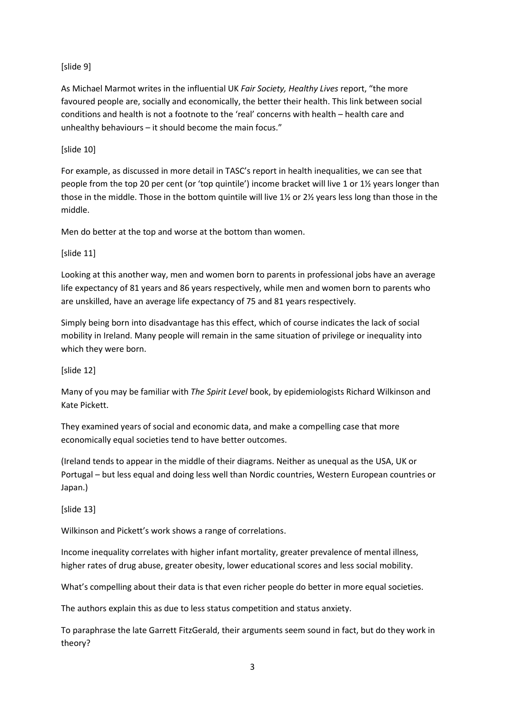# [slide 9]

As Michael Marmot writes in the influential UK *Fair Society, Healthy Lives* report, "the more favoured people are, socially and economically, the better their health. This link between social conditions and health is not a footnote to the 'real' concerns with health – health care and unhealthy behaviours – it should become the main focus."

# [slide 10]

For example, as discussed in more detail in TASC's report in health inequalities, we can see that people from the top 20 per cent (or 'top quintile') income bracket will live 1 or 1½ years longer than those in the middle. Those in the bottom quintile will live 1½ or 2½ years less long than those in the middle.

Men do better at the top and worse at the bottom than women.

# [slide 11]

Looking at this another way, men and women born to parents in professional jobs have an average life expectancy of 81 years and 86 years respectively, while men and women born to parents who are unskilled, have an average life expectancy of 75 and 81 years respectively.

Simply being born into disadvantage has this effect, which of course indicates the lack of social mobility in Ireland. Many people will remain in the same situation of privilege or inequality into which they were born.

# [slide 12]

Many of you may be familiar with *The Spirit Level* book, by epidemiologists Richard Wilkinson and Kate Pickett.

They examined years of social and economic data, and make a compelling case that more economically equal societies tend to have better outcomes.

(Ireland tends to appear in the middle of their diagrams. Neither as unequal as the USA, UK or Portugal – but less equal and doing less well than Nordic countries, Western European countries or Japan.)

[slide 13]

Wilkinson and Pickett's work shows a range of correlations.

Income inequality correlates with higher infant mortality, greater prevalence of mental illness, higher rates of drug abuse, greater obesity, lower educational scores and less social mobility.

What's compelling about their data is that even richer people do better in more equal societies.

The authors explain this as due to less status competition and status anxiety.

To paraphrase the late Garrett FitzGerald, their arguments seem sound in fact, but do they work in theory?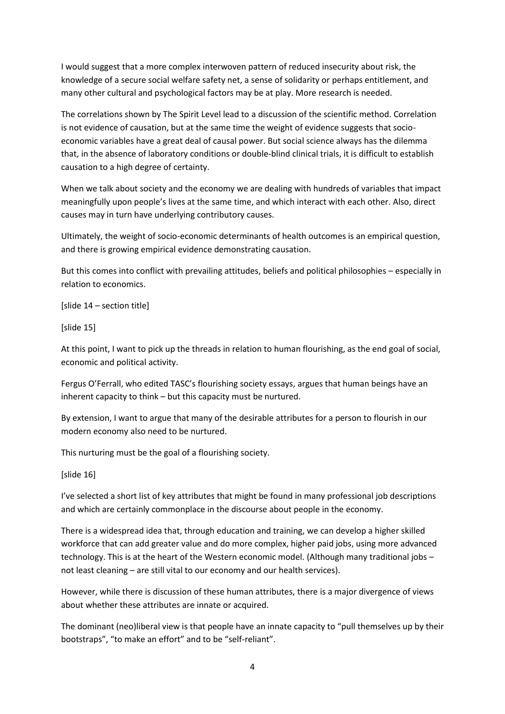I would suggest that a more complex interwoven pattern of reduced insecurity about risk, the knowledge of a secure social welfare safety net, a sense of solidarity or perhaps entitlement, and many other cultural and psychological factors may be at play. More research is needed.

The correlations shown by The Spirit Level lead to a discussion of the scientific method. Correlation is not evidence of causation, but at the same time the weight of evidence suggests that socioeconomic variables have a great deal of causal power. But social science always has the dilemma that, in the absence of laboratory conditions or double-blind clinical trials, it is difficult to establish causation to a high degree of certainty.

When we talk about society and the economy we are dealing with hundreds of variables that impact meaningfully upon people's lives at the same time, and which interact with each other. Also, direct causes may in turn have underlying contributory causes.

Ultimately, the weight of socio-economic determinants of health outcomes is an empirical question, and there is growing empirical evidence demonstrating causation.

But this comes into conflict with prevailing attitudes, beliefs and political philosophies – especially in relation to economics.

[slide 14 – section title]

[slide 15]

At this point, I want to pick up the threads in relation to human flourishing, as the end goal of social, economic and political activity.

Fergus O'Ferrall, who edited TASC's flourishing society essays, argues that human beings have an inherent capacity to think – but this capacity must be nurtured.

By extension, I want to argue that many of the desirable attributes for a person to flourish in our modern economy also need to be nurtured.

This nurturing must be the goal of a flourishing society.

[slide 16]

I've selected a short list of key attributes that might be found in many professional job descriptions and which are certainly commonplace in the discourse about people in the economy.

There is a widespread idea that, through education and training, we can develop a higher skilled workforce that can add greater value and do more complex, higher paid jobs, using more advanced technology. This is at the heart of the Western economic model. (Although many traditional jobs – not least cleaning – are still vital to our economy and our health services).

However, while there is discussion of these human attributes, there is a major divergence of views about whether these attributes are innate or acquired.

The dominant (neo)liberal view is that people have an innate capacity to "pull themselves up by their bootstraps", "to make an effort" and to be "self-reliant".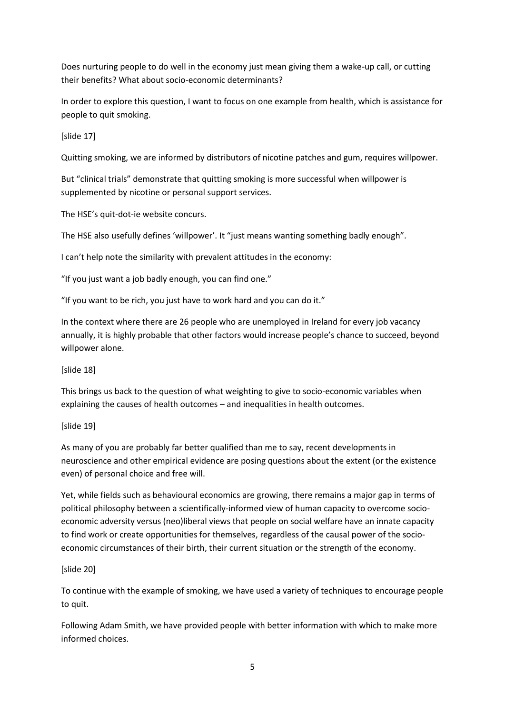Does nurturing people to do well in the economy just mean giving them a wake-up call, or cutting their benefits? What about socio-economic determinants?

In order to explore this question, I want to focus on one example from health, which is assistance for people to quit smoking.

[slide 17]

Quitting smoking, we are informed by distributors of nicotine patches and gum, requires willpower.

But "clinical trials" demonstrate that quitting smoking is more successful when willpower is supplemented by nicotine or personal support services.

The HSE's quit-dot-ie website concurs.

The HSE also usefully defines 'willpower'. It "just means wanting something badly enough".

I can't help note the similarity with prevalent attitudes in the economy:

"If you just want a job badly enough, you can find one."

"If you want to be rich, you just have to work hard and you can do it."

In the context where there are 26 people who are unemployed in Ireland for every job vacancy annually, it is highly probable that other factors would increase people's chance to succeed, beyond willpower alone.

[slide 18]

This brings us back to the question of what weighting to give to socio-economic variables when explaining the causes of health outcomes – and inequalities in health outcomes.

# [slide 19]

As many of you are probably far better qualified than me to say, recent developments in neuroscience and other empirical evidence are posing questions about the extent (or the existence even) of personal choice and free will.

Yet, while fields such as behavioural economics are growing, there remains a major gap in terms of political philosophy between a scientifically-informed view of human capacity to overcome socioeconomic adversity versus (neo)liberal views that people on social welfare have an innate capacity to find work or create opportunities for themselves, regardless of the causal power of the socioeconomic circumstances of their birth, their current situation or the strength of the economy.

# [slide 20]

To continue with the example of smoking, we have used a variety of techniques to encourage people to quit.

Following Adam Smith, we have provided people with better information with which to make more informed choices.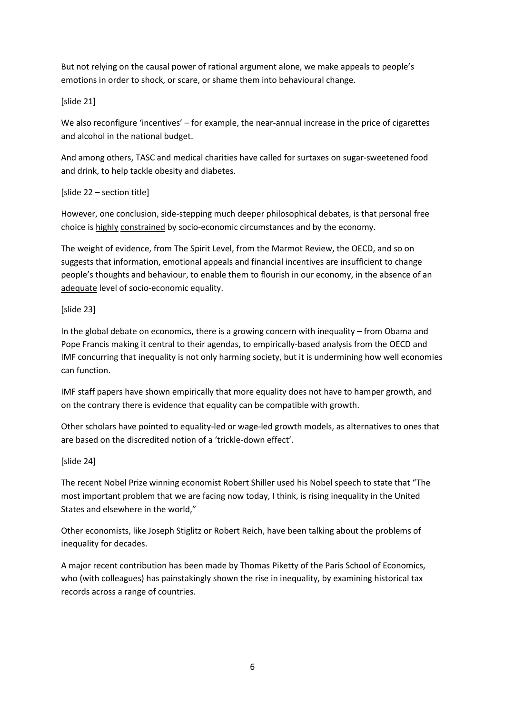But not relying on the causal power of rational argument alone, we make appeals to people's emotions in order to shock, or scare, or shame them into behavioural change.

# [slide 21]

We also reconfigure 'incentives' – for example, the near-annual increase in the price of cigarettes and alcohol in the national budget.

And among others, TASC and medical charities have called for surtaxes on sugar-sweetened food and drink, to help tackle obesity and diabetes.

# [slide 22 – section title]

However, one conclusion, side-stepping much deeper philosophical debates, is that personal free choice is highly constrained by socio-economic circumstances and by the economy.

The weight of evidence, from The Spirit Level, from the Marmot Review, the OECD, and so on suggests that information, emotional appeals and financial incentives are insufficient to change people's thoughts and behaviour, to enable them to flourish in our economy, in the absence of an adequate level of socio-economic equality.

# [slide 23]

In the global debate on economics, there is a growing concern with inequality – from Obama and Pope Francis making it central to their agendas, to empirically-based analysis from the OECD and IMF concurring that inequality is not only harming society, but it is undermining how well economies can function.

IMF staff papers have shown empirically that more equality does not have to hamper growth, and on the contrary there is evidence that equality can be compatible with growth.

Other scholars have pointed to equality-led or wage-led growth models, as alternatives to ones that are based on the discredited notion of a 'trickle-down effect'.

# [slide 24]

The recent Nobel Prize winning economist Robert Shiller used his Nobel speech to state that "The most important problem that we are facing now today, I think, is rising inequality in the United States and elsewhere in the world,"

Other economists, like Joseph Stiglitz or Robert Reich, have been talking about the problems of inequality for decades.

A major recent contribution has been made by Thomas Piketty of the Paris School of Economics, who (with colleagues) has painstakingly shown the rise in inequality, by examining historical tax records across a range of countries.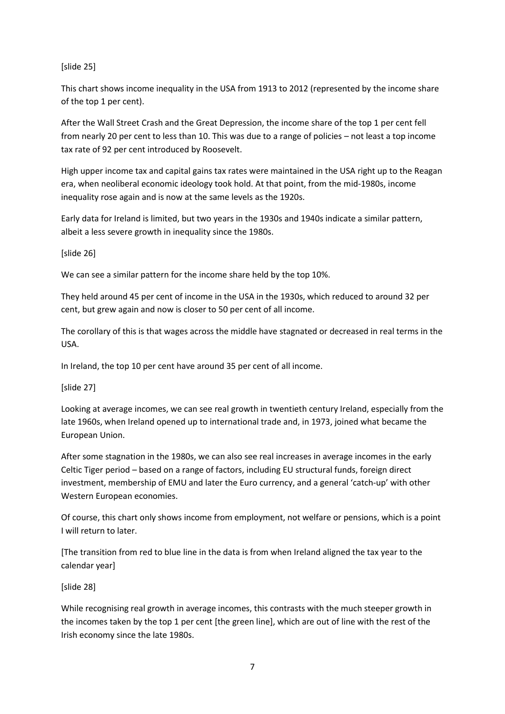# [slide 25]

This chart shows income inequality in the USA from 1913 to 2012 (represented by the income share of the top 1 per cent).

After the Wall Street Crash and the Great Depression, the income share of the top 1 per cent fell from nearly 20 per cent to less than 10. This was due to a range of policies – not least a top income tax rate of 92 per cent introduced by Roosevelt.

High upper income tax and capital gains tax rates were maintained in the USA right up to the Reagan era, when neoliberal economic ideology took hold. At that point, from the mid-1980s, income inequality rose again and is now at the same levels as the 1920s.

Early data for Ireland is limited, but two years in the 1930s and 1940s indicate a similar pattern, albeit a less severe growth in inequality since the 1980s.

[slide 26]

We can see a similar pattern for the income share held by the top 10%.

They held around 45 per cent of income in the USA in the 1930s, which reduced to around 32 per cent, but grew again and now is closer to 50 per cent of all income.

The corollary of this is that wages across the middle have stagnated or decreased in real terms in the USA.

In Ireland, the top 10 per cent have around 35 per cent of all income.

[slide 27]

Looking at average incomes, we can see real growth in twentieth century Ireland, especially from the late 1960s, when Ireland opened up to international trade and, in 1973, joined what became the European Union.

After some stagnation in the 1980s, we can also see real increases in average incomes in the early Celtic Tiger period – based on a range of factors, including EU structural funds, foreign direct investment, membership of EMU and later the Euro currency, and a general 'catch-up' with other Western European economies.

Of course, this chart only shows income from employment, not welfare or pensions, which is a point I will return to later.

[The transition from red to blue line in the data is from when Ireland aligned the tax year to the calendar year]

[slide 28]

While recognising real growth in average incomes, this contrasts with the much steeper growth in the incomes taken by the top 1 per cent [the green line], which are out of line with the rest of the Irish economy since the late 1980s.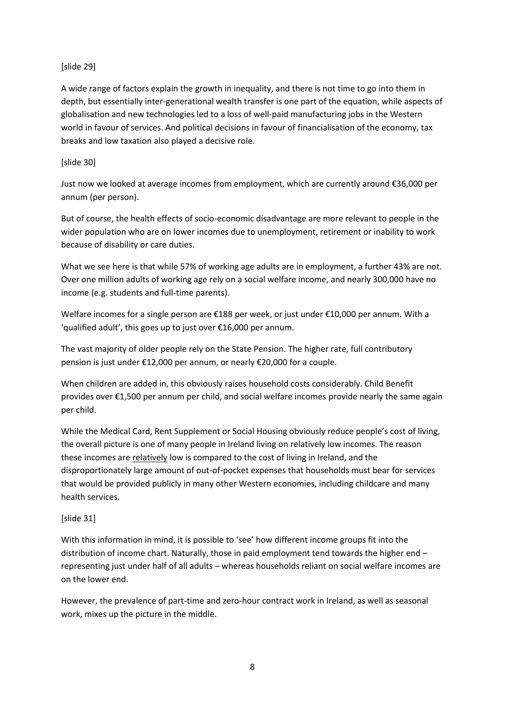# [slide 29]

A wide range of factors explain the growth in inequality, and there is not time to go into them in depth, but essentially inter-generational wealth transfer is one part of the equation, while aspects of globalisation and new technologies led to a loss of well-paid manufacturing jobs in the Western world in favour of services. And political decisions in favour of financialisation of the economy, tax breaks and low taxation also played a decisive role.

#### [slide 30]

Just now we looked at average incomes from employment, which are currently around €36,000 per annum (per person).

But of course, the health effects of socio-economic disadvantage are more relevant to people in the wider population who are on lower incomes due to unemployment, retirement or inability to work because of disability or care duties.

What we see here is that while 57% of working age adults are in employment, a further 43% are not. Over one million adults of working age rely on a social welfare income, and nearly 300,000 have no income (e.g. students and full-time parents).

Welfare incomes for a single person are €188 per week, or just under €10,000 per annum. With a 'qualified adult', this goes up to just over €16,000 per annum.

The vast majority of older people rely on the State Pension. The higher rate, full contributory pension is just under €12,000 per annum, or nearly €20,000 for a couple.

When children are added in, this obviously raises household costs considerably. Child Benefit provides over €1,500 per annum per child, and social welfare incomes provide nearly the same again per child.

While the Medical Card, Rent Supplement or Social Housing obviously reduce people's cost of living, the overall picture is one of many people in Ireland living on relatively low incomes. The reason these incomes are relatively low is compared to the cost of living in Ireland, and the disproportionately large amount of out-of-pocket expenses that households must bear for services that would be provided publicly in many other Western economies, including childcare and many health services.

# [slide 31]

With this information in mind, it is possible to 'see' how different income groups fit into the distribution of income chart. Naturally, those in paid employment tend towards the higher end – representing just under half of all adults – whereas households reliant on social welfare incomes are on the lower end.

However, the prevalence of part-time and zero-hour contract work in Ireland, as well as seasonal work, mixes up the picture in the middle.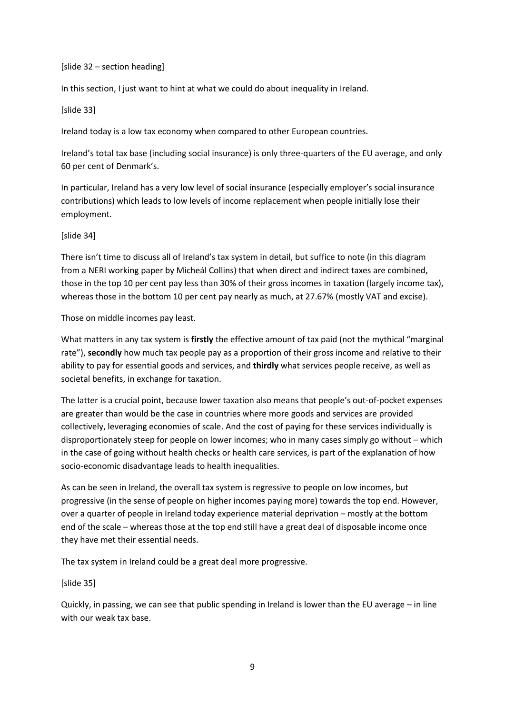#### [slide 32 – section heading]

In this section, I just want to hint at what we could do about inequality in Ireland.

#### [slide 33]

Ireland today is a low tax economy when compared to other European countries.

Ireland's total tax base (including social insurance) is only three-quarters of the EU average, and only 60 per cent of Denmark's.

In particular, Ireland has a very low level of social insurance (especially employer's social insurance contributions) which leads to low levels of income replacement when people initially lose their employment.

# [slide 34]

There isn't time to discuss all of Ireland's tax system in detail, but suffice to note (in this diagram from a NERI working paper by Micheál Collins) that when direct and indirect taxes are combined, those in the top 10 per cent pay less than 30% of their gross incomes in taxation (largely income tax), whereas those in the bottom 10 per cent pay nearly as much, at 27.67% (mostly VAT and excise).

#### Those on middle incomes pay least.

What matters in any tax system is **firstly** the effective amount of tax paid (not the mythical "marginal rate"), **secondly** how much tax people pay as a proportion of their gross income and relative to their ability to pay for essential goods and services, and **thirdly** what services people receive, as well as societal benefits, in exchange for taxation.

The latter is a crucial point, because lower taxation also means that people's out-of-pocket expenses are greater than would be the case in countries where more goods and services are provided collectively, leveraging economies of scale. And the cost of paying for these services individually is disproportionately steep for people on lower incomes; who in many cases simply go without – which in the case of going without health checks or health care services, is part of the explanation of how socio-economic disadvantage leads to health inequalities.

As can be seen in Ireland, the overall tax system is regressive to people on low incomes, but progressive (in the sense of people on higher incomes paying more) towards the top end. However, over a quarter of people in Ireland today experience material deprivation – mostly at the bottom end of the scale – whereas those at the top end still have a great deal of disposable income once they have met their essential needs.

The tax system in Ireland could be a great deal more progressive.

# [slide 35]

Quickly, in passing, we can see that public spending in Ireland is lower than the EU average – in line with our weak tax base.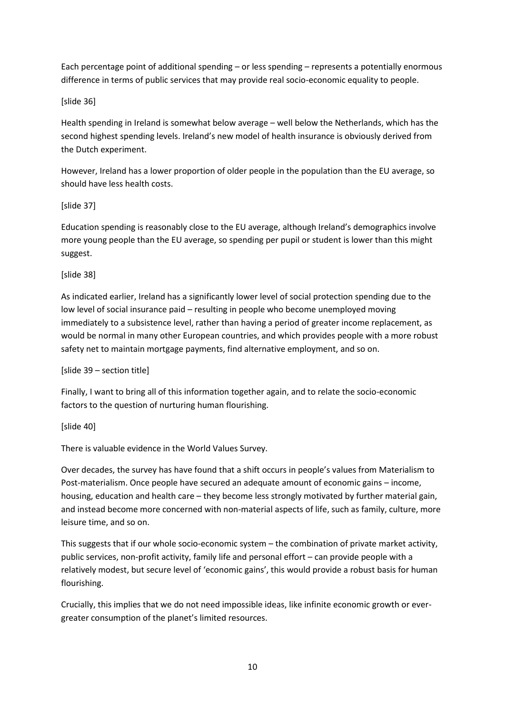Each percentage point of additional spending – or less spending – represents a potentially enormous difference in terms of public services that may provide real socio-economic equality to people.

# [slide 36]

Health spending in Ireland is somewhat below average – well below the Netherlands, which has the second highest spending levels. Ireland's new model of health insurance is obviously derived from the Dutch experiment.

However, Ireland has a lower proportion of older people in the population than the EU average, so should have less health costs.

# [slide 37]

Education spending is reasonably close to the EU average, although Ireland's demographics involve more young people than the EU average, so spending per pupil or student is lower than this might suggest.

# [slide 38]

As indicated earlier, Ireland has a significantly lower level of social protection spending due to the low level of social insurance paid – resulting in people who become unemployed moving immediately to a subsistence level, rather than having a period of greater income replacement, as would be normal in many other European countries, and which provides people with a more robust safety net to maintain mortgage payments, find alternative employment, and so on.

# [slide 39 – section title]

Finally, I want to bring all of this information together again, and to relate the socio-economic factors to the question of nurturing human flourishing.

# [slide 40]

There is valuable evidence in the World Values Survey.

Over decades, the survey has have found that a shift occurs in people's values from Materialism to Post-materialism. Once people have secured an adequate amount of economic gains – income, housing, education and health care – they become less strongly motivated by further material gain, and instead become more concerned with non-material aspects of life, such as family, culture, more leisure time, and so on.

This suggests that if our whole socio-economic system – the combination of private market activity, public services, non-profit activity, family life and personal effort – can provide people with a relatively modest, but secure level of 'economic gains', this would provide a robust basis for human flourishing.

Crucially, this implies that we do not need impossible ideas, like infinite economic growth or evergreater consumption of the planet's limited resources.